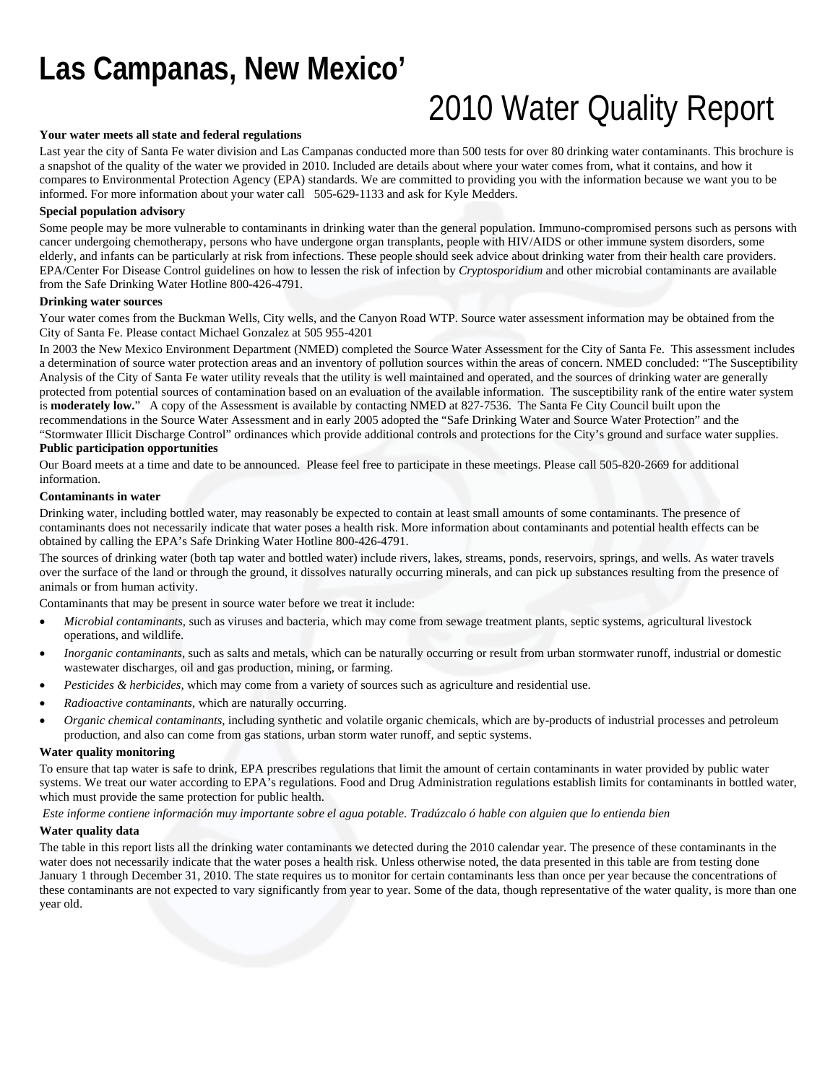## **Las Campanas, New Mexico'**

# 2010 Water Quality Report

#### **Your water meets all state and federal regulations**

Last year the city of Santa Fe water division and Las Campanas conducted more than 500 tests for over 80 drinking water contaminants. This brochure is a snapshot of the quality of the water we provided in 2010. Included are details about where your water comes from, what it contains, and how it compares to Environmental Protection Agency (EPA) standards. We are committed to providing you with the information because we want you to be informed. For more information about your water call 505-629-1133 and ask for Kyle Medders.

#### **Special population advisory**

Some people may be more vulnerable to contaminants in drinking water than the general population. Immuno-compromised persons such as persons with cancer undergoing chemotherapy, persons who have undergone organ transplants, people with HIV/AIDS or other immune system disorders, some elderly, and infants can be particularly at risk from infections. These people should seek advice about drinking water from their health care providers. EPA/Center For Disease Control guidelines on how to lessen the risk of infection by *Cryptosporidium* and other microbial contaminants are available from the Safe Drinking Water Hotline 800-426-4791.

#### **Drinking water sources**

Your water comes from the Buckman Wells, City wells, and the Canyon Road WTP. Source water assessment information may be obtained from the City of Santa Fe. Please contact Michael Gonzalez at 505 955-4201

In 2003 the New Mexico Environment Department (NMED) completed the Source Water Assessment for the City of Santa Fe. This assessment includes a determination of source water protection areas and an inventory of pollution sources within the areas of concern. NMED concluded: "The Susceptibility Analysis of the City of Santa Fe water utility reveals that the utility is well maintained and operated, and the sources of drinking water are generally protected from potential sources of contamination based on an evaluation of the available information. The susceptibility rank of the entire water system is **moderately low.**" A copy of the Assessment is available by contacting NMED at 827-7536. The Santa Fe City Council built upon the recommendations in the Source Water Assessment and in early 2005 adopted the "Safe Drinking Water and Source Water Protection" and the "Stormwater Illicit Discharge Control" ordinances which provide additional controls and protections for the City's ground and surface water supplies. **Public participation opportunities** 

Our Board meets at a time and date to be announced. Please feel free to participate in these meetings. Please call 505-820-2669 for additional information.

#### **Contaminants in water**

Drinking water, including bottled water, may reasonably be expected to contain at least small amounts of some contaminants. The presence of contaminants does not necessarily indicate that water poses a health risk. More information about contaminants and potential health effects can be obtained by calling the EPA's Safe Drinking Water Hotline 800-426-4791.

The sources of drinking water (both tap water and bottled water) include rivers, lakes, streams, ponds, reservoirs, springs, and wells. As water travels over the surface of the land or through the ground, it dissolves naturally occurring minerals, and can pick up substances resulting from the presence of animals or from human activity.

Contaminants that may be present in source water before we treat it include:

- *Microbial contaminants*, such as viruses and bacteria, which may come from sewage treatment plants, septic systems, agricultural livestock operations, and wildlife.
- *Inorganic contaminants,* such as salts and metals, which can be naturally occurring or result from urban stormwater runoff, industrial or domestic wastewater discharges, oil and gas production, mining, or farming.
- *Pesticides & herbicides,* which may come from a variety of sources such as agriculture and residential use.
- *Radioactive contaminants,* which are naturally occurring.
- *Organic chemical contaminants,* including synthetic and volatile organic chemicals, which are by-products of industrial processes and petroleum production, and also can come from gas stations, urban storm water runoff, and septic systems.

### **Water quality monitoring**

To ensure that tap water is safe to drink, EPA prescribes regulations that limit the amount of certain contaminants in water provided by public water systems. We treat our water according to EPA's regulations. Food and Drug Administration regulations establish limits for contaminants in bottled water, which must provide the same protection for public health.

#### *Este informe contiene información muy importante sobre el agua potable. Tradúzcalo ó hable con alguien que lo entienda bien*

#### **Water quality data**

The table in this report lists all the drinking water contaminants we detected during the 2010 calendar year. The presence of these contaminants in the water does not necessarily indicate that the water poses a health risk. Unless otherwise noted, the data presented in this table are from testing done January 1 through December 31, 2010. The state requires us to monitor for certain contaminants less than once per year because the concentrations of these contaminants are not expected to vary significantly from year to year. Some of the data, though representative of the water quality, is more than one year old.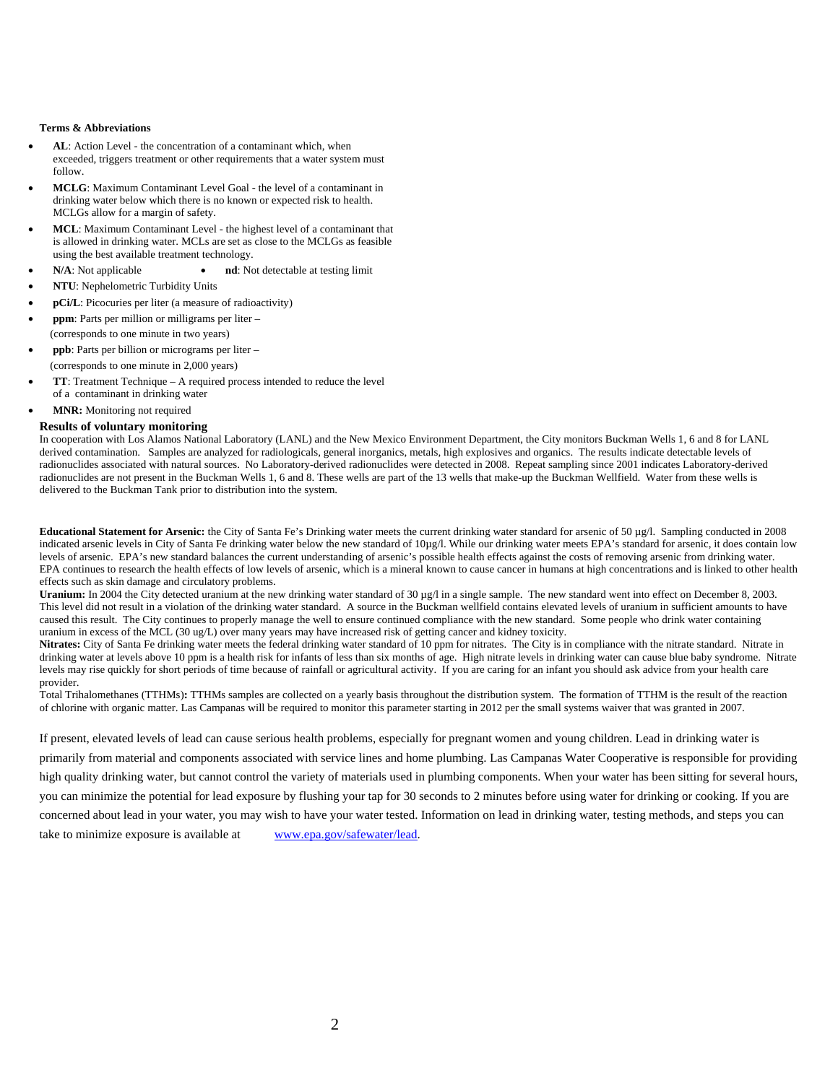#### **Terms & Abbreviations**

- **AL**: Action Level the concentration of a contaminant which, when exceeded, triggers treatment or other requirements that a water system must follow.
- **MCLG**: Maximum Contaminant Level Goal the level of a contaminant in drinking water below which there is no known or expected risk to health. MCLGs allow for a margin of safety.
- **MCL**: Maximum Contaminant Level the highest level of a contaminant that is allowed in drinking water. MCLs are set as close to the MCLGs as feasible using the best available treatment technology.
- **N/A**: Not applicable **a nd**: Not detectable at testing limit
- **NTU**: Nephelometric Turbidity Units
- **pCi/L**: Picocuries per liter (a measure of radioactivity)
- **ppm**: Parts per million or milligrams per liter (corresponds to one minute in two years)
- **ppb**: Parts per billion or micrograms per liter (corresponds to one minute in 2,000 years)
- **TT**: Treatment Technique A required process intended to reduce the level of a contaminant in drinking water
- **MNR:** Monitoring not required

### **Results of voluntary monitoring**

In cooperation with Los Alamos National Laboratory (LANL) and the New Mexico Environment Department, the City monitors Buckman Wells 1, 6 and 8 for LANL derived contamination. Samples are analyzed for radiologicals, general inorganics, metals, high explosives and organics. The results indicate detectable levels of radionuclides associated with natural sources. No Laboratory-derived radionuclides were detected in 2008. Repeat sampling since 2001 indicates Laboratory-derived radionuclides are not present in the Buckman Wells 1, 6 and 8. These wells are part of the 13 wells that make-up the Buckman Wellfield. Water from these wells is delivered to the Buckman Tank prior to distribution into the system.

**Educational Statement for Arsenic:** the City of Santa Fe's Drinking water meets the current drinking water standard for arsenic of 50  $\mu$ g/l. Sampling conducted in 2008 indicated arsenic levels in City of Santa Fe drinking water below the new standard of 10µg/l. While our drinking water meets EPA's standard for arsenic, it does contain low levels of arsenic. EPA's new standard balances the current understanding of arsenic's possible health effects against the costs of removing arsenic from drinking water. EPA continues to research the health effects of low levels of arsenic, which is a mineral known to cause cancer in humans at high concentrations and is linked to other health effects such as skin damage and circulatory problems.

Uranium: In 2004 the City detected uranium at the new drinking water standard of 30 µg/l in a single sample. The new standard went into effect on December 8, 2003. This level did not result in a violation of the drinking water standard. A source in the Buckman wellfield contains elevated levels of uranium in sufficient amounts to have caused this result. The City continues to properly manage the well to ensure continued compliance with the new standard. Some people who drink water containing uranium in excess of the MCL (30 ug/L) over many years may have increased risk of getting cancer and kidney toxicity.

**Nitrates:** City of Santa Fe drinking water meets the federal drinking water standard of 10 ppm for nitrates. The City is in compliance with the nitrate standard. Nitrate in drinking water at levels above 10 ppm is a health risk for infants of less than six months of age. High nitrate levels in drinking water can cause blue baby syndrome. Nitrate levels may rise quickly for short periods of time because of rainfall or agricultural activity. If you are caring for an infant you should ask advice from your health care provider.

Total Trihalomethanes (TTHMs)**:** TTHMs samples are collected on a yearly basis throughout the distribution system. The formation of TTHM is the result of the reaction of chlorine with organic matter. Las Campanas will be required to monitor this parameter starting in 2012 per the small systems waiver that was granted in 2007.

If present, elevated levels of lead can cause serious health problems, especially for pregnant women and young children. Lead in drinking water is primarily from material and components associated with service lines and home plumbing. Las Campanas Water Cooperative is responsible for providing high quality drinking water, but cannot control the variety of materials used in plumbing components. When your water has been sitting for several hours, you can minimize the potential for lead exposure by flushing your tap for 30 seconds to 2 minutes before using water for drinking or cooking. If you are concerned about lead in your water, you may wish to have your water tested. Information on lead in drinking water, testing methods, and steps you can take to minimize exposure is available at www.epa.gov/safewater/lead.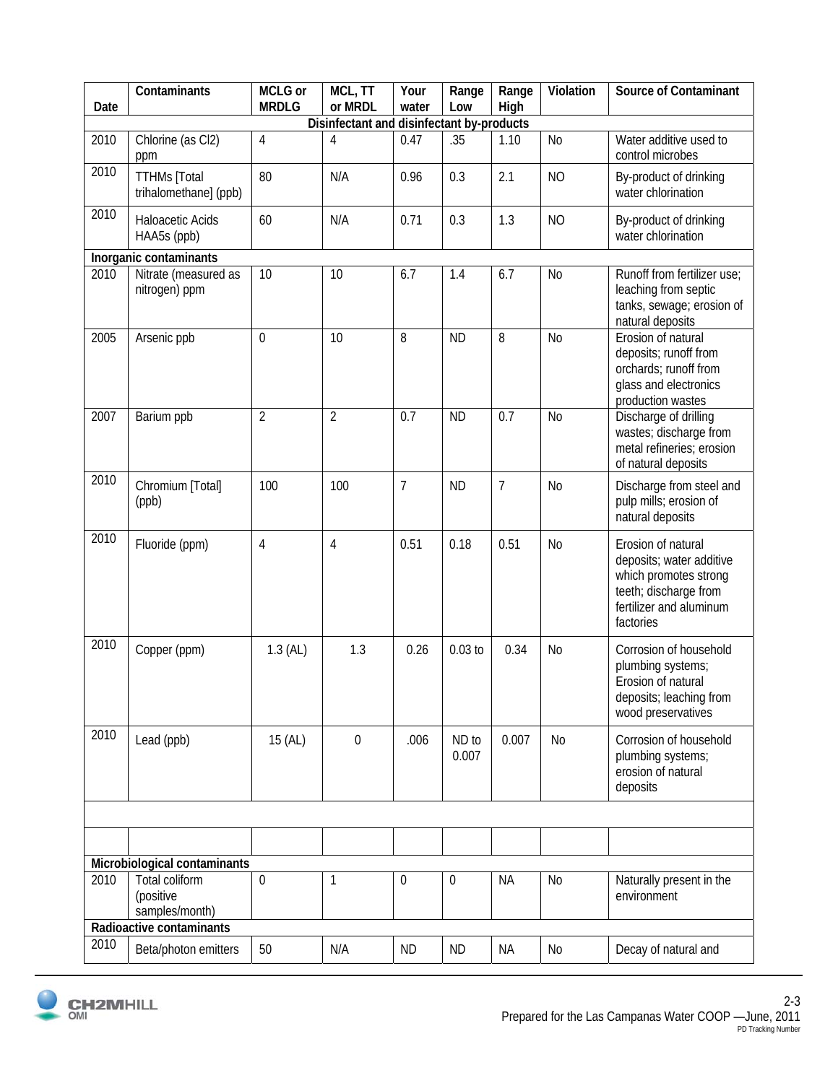| Date                                      | Contaminants                                  | MCLG or<br><b>MRDLG</b> | $\overline{MCL}$ , TT<br>or MRDL | Your<br>water | Range<br>Low     | Range<br>High  | Violation      | <b>Source of Contaminant</b>                                                                                                             |  |  |  |
|-------------------------------------------|-----------------------------------------------|-------------------------|----------------------------------|---------------|------------------|----------------|----------------|------------------------------------------------------------------------------------------------------------------------------------------|--|--|--|
| Disinfectant and disinfectant by-products |                                               |                         |                                  |               |                  |                |                |                                                                                                                                          |  |  |  |
| 2010                                      | Chlorine (as Cl2)<br>ppm                      | 4                       | 4                                | 0.47          | .35              | 1.10           | N <sub>0</sub> | Water additive used to<br>control microbes                                                                                               |  |  |  |
| 2010                                      | <b>TTHMs</b> [Total<br>trihalomethane] (ppb)  | 80                      | N/A                              | 0.96          | 0.3              | 2.1            | <b>NO</b>      | By-product of drinking<br>water chlorination                                                                                             |  |  |  |
| 2010                                      | Haloacetic Acids<br>HAA5s (ppb)               | 60                      | N/A                              | 0.71          | 0.3              | 1.3            | <b>NO</b>      | By-product of drinking<br>water chlorination                                                                                             |  |  |  |
| Inorganic contaminants                    |                                               |                         |                                  |               |                  |                |                |                                                                                                                                          |  |  |  |
| 2010                                      | Nitrate (measured as<br>nitrogen) ppm         | 10                      | 10                               | 6.7           | 1.4              | 6.7            | <b>No</b>      | Runoff from fertilizer use:<br>leaching from septic<br>tanks, sewage; erosion of<br>natural deposits                                     |  |  |  |
| 2005                                      | Arsenic ppb                                   | $\mathbf 0$             | 10                               | 8             | <b>ND</b>        | 8              | N <sub>0</sub> | Erosion of natural<br>deposits; runoff from<br>orchards; runoff from<br>glass and electronics<br>production wastes                       |  |  |  |
| 2007                                      | Barium ppb                                    | $\overline{2}$          | $\overline{2}$                   | 0.7           | <b>ND</b>        | 0.7            | <b>No</b>      | Discharge of drilling<br>wastes; discharge from<br>metal refineries; erosion<br>of natural deposits                                      |  |  |  |
| 2010                                      | Chromium [Total]<br>(ppb)                     | 100                     | 100                              | 7             | <b>ND</b>        | $\overline{7}$ | <b>No</b>      | Discharge from steel and<br>pulp mills; erosion of<br>natural deposits                                                                   |  |  |  |
| 2010                                      | Fluoride (ppm)                                | 4                       | 4                                | 0.51          | 0.18             | 0.51           | <b>No</b>      | Erosion of natural<br>deposits; water additive<br>which promotes strong<br>teeth; discharge from<br>fertilizer and aluminum<br>factories |  |  |  |
| 2010                                      | Copper (ppm)                                  | $1.3$ (AL)              | 1.3                              | 0.26          | $0.03$ to        | 0.34           | No             | Corrosion of household<br>plumbing systems;<br>Erosion of natural<br>deposits; leaching from<br>wood preservatives                       |  |  |  |
| 2010                                      | Lead (ppb)                                    | 15 (AL)                 | 0                                | .006          | ND to<br>0.007   | 0.007          | N <sub>0</sub> | Corrosion of household<br>plumbing systems;<br>erosion of natural<br>deposits                                                            |  |  |  |
|                                           |                                               |                         |                                  |               |                  |                |                |                                                                                                                                          |  |  |  |
|                                           |                                               |                         |                                  |               |                  |                |                |                                                                                                                                          |  |  |  |
|                                           | Microbiological contaminants                  |                         |                                  |               |                  |                |                |                                                                                                                                          |  |  |  |
| 2010                                      | Total coliform<br>(positive<br>samples/month) | $\mathbf 0$             | 1                                | 0             | $\boldsymbol{0}$ | <b>NA</b>      | No             | Naturally present in the<br>environment                                                                                                  |  |  |  |
| Radioactive contaminants                  |                                               |                         |                                  |               |                  |                |                |                                                                                                                                          |  |  |  |
| 2010                                      | Beta/photon emitters                          | 50                      | N/A                              | <b>ND</b>     | <b>ND</b>        | NА             | No             | Decay of natural and                                                                                                                     |  |  |  |